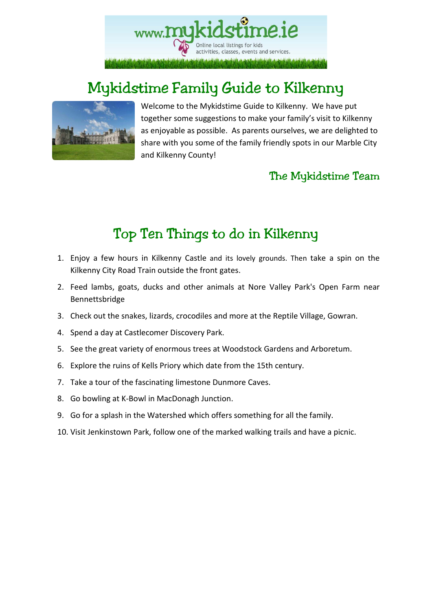

# Mykidstime Family Guide to Kilkenny



Welcome to the Mykidstime Guide to Kilkenny. We have put together some suggestions to make your family's visit to Kilkenny as enjoyable as possible. As parents ourselves, we are delighted to share with you some of the family friendly spots in our Marble City and Kilkenny County!

## The Mykidstime Team

# Top Ten Things to do in Kilkenny

- 1. Enjoy a few hours in Kilkenny Castle and its lovely grounds. Then take a spin on the Kilkenny City Road Train outside the front gates.
- 2. Feed lambs, goats, ducks and other animals at Nore Valley Park's Open Farm near Bennettsbridge
- 3. Check out the snakes, lizards, crocodiles and more at the Reptile Village, Gowran.
- 4. Spend a day at Castlecomer Discovery Park.
- 5. See the great variety of enormous trees at Woodstock Gardens and Arboretum.
- 6. Explore the ruins of Kells Priory which date from the 15th century.
- 7. Take a tour of the fascinating limestone Dunmore Caves.
- 8. Go bowling at K-Bowl in MacDonagh Junction.
- 9. Go for a splash in the Watershed which offers something for all the family.
- 10. Visit Jenkinstown Park, follow one of the marked walking trails and have a picnic.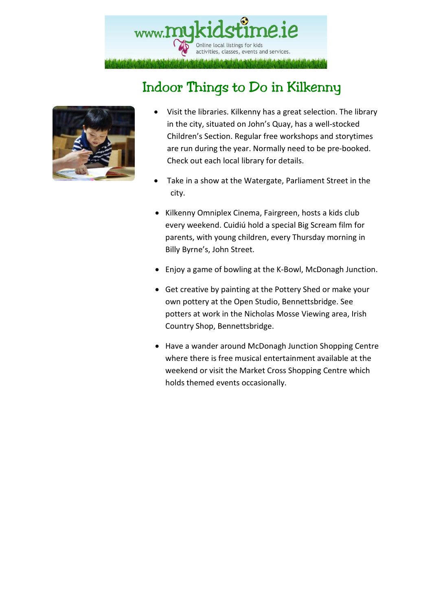

# Indoor Things to Do in Kilkenny



- Visit the libraries. Kilkenny has a great selection. The library in the city, situated on John's Quay, has a well-stocked Children's Section. Regular free workshops and storytimes are run during the year. Normally need to be pre-booked. Check out each local library for details.
- Take in a show at the Watergate, Parliament Street in the city.
- Kilkenny Omniplex Cinema, Fairgreen, hosts a kids club every weekend. Cuidiú hold a special Big Scream film for parents, with young children, every Thursday morning in Billy Byrne's, John Street.
- Enjoy a game of bowling at the K-Bowl, McDonagh Junction.
- Get creative by painting at the Pottery Shed or make your own pottery at the Open Studio, Bennettsbridge. See potters at work in the Nicholas Mosse Viewing area, Irish Country Shop, Bennettsbridge.
- Have a wander around McDonagh Junction Shopping Centre where there is free musical entertainment available at the weekend or visit the Market Cross Shopping Centre which holds themed events occasionally.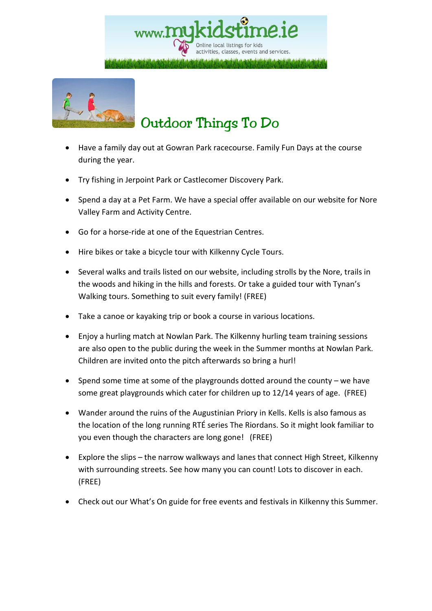



- Have a family day out at Gowran Park racecourse. Family Fun Days at the course during the year.
- Try fishing in Jerpoint Park or Castlecomer Discovery Park.
- Spend a day at a Pet Farm. We have a special offer available on our website for Nore Valley Farm and Activity Centre.
- Go for a horse-ride at one of the Equestrian Centres.
- Hire bikes or take a bicycle tour with Kilkenny Cycle Tours.
- Several walks and trails listed on our website, including strolls by the Nore, trails in the woods and hiking in the hills and forests. Or take a guided tour with Tynan's Walking tours. Something to suit every family! (FREE)
- Take a canoe or kayaking trip or book a course in various locations.
- Enjoy a hurling match at Nowlan Park. The Kilkenny hurling team training sessions are also open to the public during the week in the Summer months at Nowlan Park. Children are invited onto the pitch afterwards so bring a hurl!
- Spend some time at some of the playgrounds dotted around the county we have some great playgrounds which cater for children up to 12/14 years of age. (FREE)
- Wander around the ruins of the Augustinian Priory in Kells. Kells is also famous as the location of the long running RTÉ series The Riordans. So it might look familiar to you even though the characters are long gone! (FREE)
- Explore the slips the narrow walkways and lanes that connect High Street, Kilkenny with surrounding streets. See how many you can count! Lots to discover in each. (FREE)
- Check out our What's On guide for free events and festivals in Kilkenny this Summer.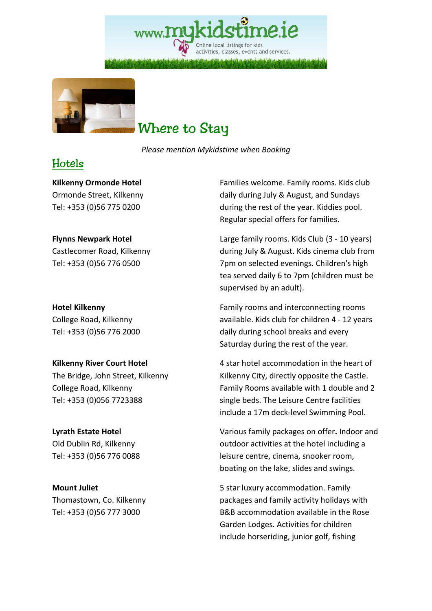Online local listings for kids activities, classes, events and services.



## Where to Stay

*Please mention Mykidstime when Booking* 

## Hotels

**Kilkenny Ormonde Hotel**  Ormonde Street, Kilkenny Tel: +353 (0)56 775 0200

#### **Flynns Newpark Hotel**

Castlecomer Road, Kilkenny Tel: +353 (0)56 776 0500

**Hotel Kilkenny**  College Road, Kilkenny Tel: +353 (0)56 776 2000

#### **Kilkenny River Court Hotel**

The Bridge, John Street, Kilkenny College Road, Kilkenny Tel: +353 (0)056 7723388

### **Lyrath Estate Hotel**

Old Dublin Rd, Kilkenny Tel: +353 (0)56 776 0088

**Mount Juliet**  Thomastown, Co. Kilkenny Tel: +353 (0)56 777 3000

Families welcome. Family rooms. Kids club daily during July & August, and Sundays during the rest of the year. Kiddies pool. Regular special offers for families.

Large family rooms. Kids Club (3 - 10 years) during July & August. Kids cinema club from 7pm on selected evenings. Children's high tea served daily 6 to 7pm (children must be supervised by an adult).

Family rooms and interconnecting rooms available. Kids club for children 4 - 12 years daily during school breaks and every Saturday during the rest of the year.

4 star hotel accommodation in the heart of Kilkenny City, directly opposite the Castle. Family Rooms available with 1 double and 2 single beds. The Leisure Centre facilities include a 17m deck-level Swimming Pool.

Various family packages on offer**.** Indoor and outdoor activities at the hotel including a leisure centre, cinema, snooker room, boating on the lake, slides and swings.

5 star luxury accommodation. Family packages and family activity holidays with B&B accommodation available in the Rose Garden Lodges. Activities for children include horseriding, junior golf, fishing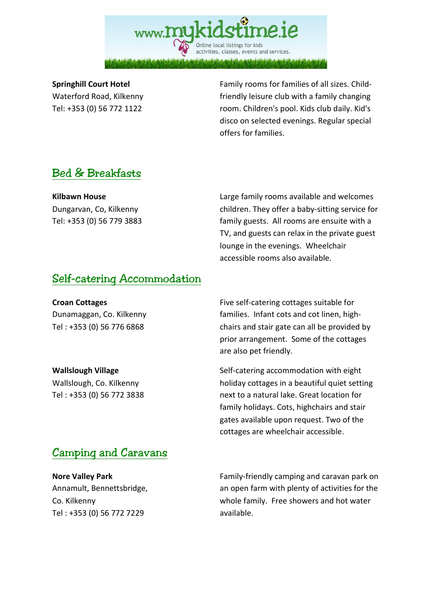## www.**MU** Online local listings for kids activities, classes, events and services.

#### **Springhill Court Hotel**

Waterford Road, Kilkenny Tel: +353 (0) 56 772 1122

Family rooms for families of all sizes. Childfriendly leisure club with a family changing room. Children's pool. Kids club daily. Kid's disco on selected evenings. Regular special offers for families.

## Bed & Breakfasts

**Kilbawn House**  Dungarvan, Co, Kilkenny Tel: +353 (0) 56 779 3883

Large family rooms available and welcomes children. They offer a baby-sitting service for family guests. All rooms are ensuite with a TV, and guests can relax in the private guest lounge in the evenings. Wheelchair accessible rooms also available.

### Self-catering Accommodation

**Croan Cottages**  Dunamaggan, Co. Kilkenny Tel : +353 (0) 56 776 6868

**Wallslough Village**  Wallslough, Co. Kilkenny Tel : +353 (0) 56 772 3838

Five self-catering cottages suitable for families. Infant cots and cot linen, highchairs and stair gate can all be provided by prior arrangement. Some of the cottages are also pet friendly.

Self-catering accommodation with eight holiday cottages in a beautiful quiet setting next to a natural lake. Great location for family holidays. Cots, highchairs and stair gates available upon request. Two of the cottages are wheelchair accessible.

## Camping and Caravans

**Nore Valley Park**  Annamult, Bennettsbridge, Co. Kilkenny Tel : +353 (0) 56 772 7229

Family-friendly camping and caravan park on an open farm with plenty of activities for the whole family. Free showers and hot water available.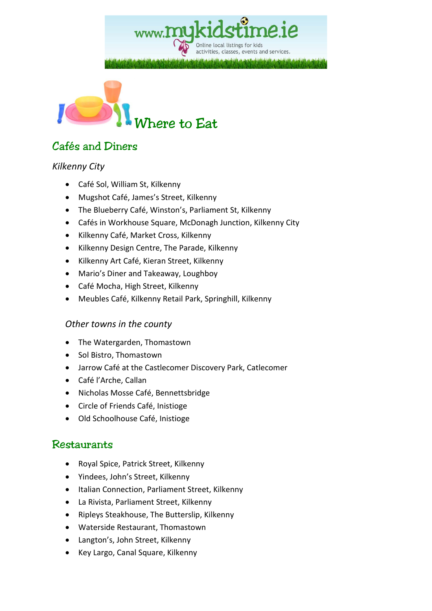activities, classes, events and services.

Online local listings for kids



## Cafés and Diners

#### *Kilkenny City*

- Café Sol, William St, Kilkenny
- Mugshot Café, James's Street, Kilkenny
- The Blueberry Café, Winston's, Parliament St, Kilkenny
- Cafés in Workhouse Square, McDonagh Junction, Kilkenny City
- Kilkenny Café, Market Cross, Kilkenny
- Kilkenny Design Centre, The Parade, Kilkenny
- Kilkenny Art Café, Kieran Street, Kilkenny
- Mario's Diner and Takeaway, Loughboy
- Café Mocha, High Street, Kilkenny
- Meubles Café, Kilkenny Retail Park, Springhill, Kilkenny

#### *Other towns in the county*

- The Watergarden, Thomastown
- Sol Bistro, Thomastown
- Jarrow Café at the Castlecomer Discovery Park, Catlecomer
- Café l'Arche, Callan
- Nicholas Mosse Café, Bennettsbridge
- Circle of Friends Café, Inistioge
- Old Schoolhouse Café, Inistioge

#### Restaurants

- Royal Spice, Patrick Street, Kilkenny
- Yindees, John's Street, Kilkenny
- Italian Connection, Parliament Street, Kilkenny
- La Rivista, Parliament Street, Kilkenny
- Ripleys Steakhouse, The Butterslip, Kilkenny
- Waterside Restaurant, Thomastown
- Langton's, John Street, Kilkenny
- Key Largo, Canal Square, Kilkenny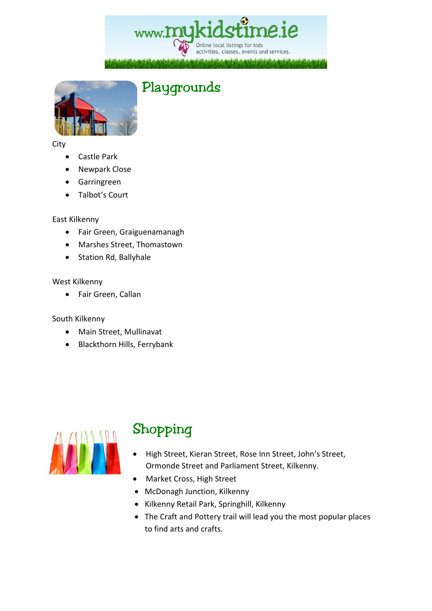www.myk Online local listings for kids activities, classes, events and services.



#### City

- Castle Park
- Newpark Close
- Garringreen
- Talbot's Court

#### East Kilkenny

- Fair Green, Graiguenamanagh
- Marshes Street, Thomastown
- Station Rd, Ballyhale

#### West Kilkenny

• Fair Green, Callan

#### South Kilkenny

- Main Street, Mullinavat
- Blackthorn Hills, Ferrybank



# Shopping

- High Street, Kieran Street, Rose Inn Street, John's Street, Ormonde Street and Parliament Street, Kilkenny.
- Market Cross, High Street
- McDonagh Junction, Kilkenny
- Kilkenny Retail Park, Springhill, Kilkenny
- The Craft and Pottery trail will lead you the most popular places to find arts and crafts.